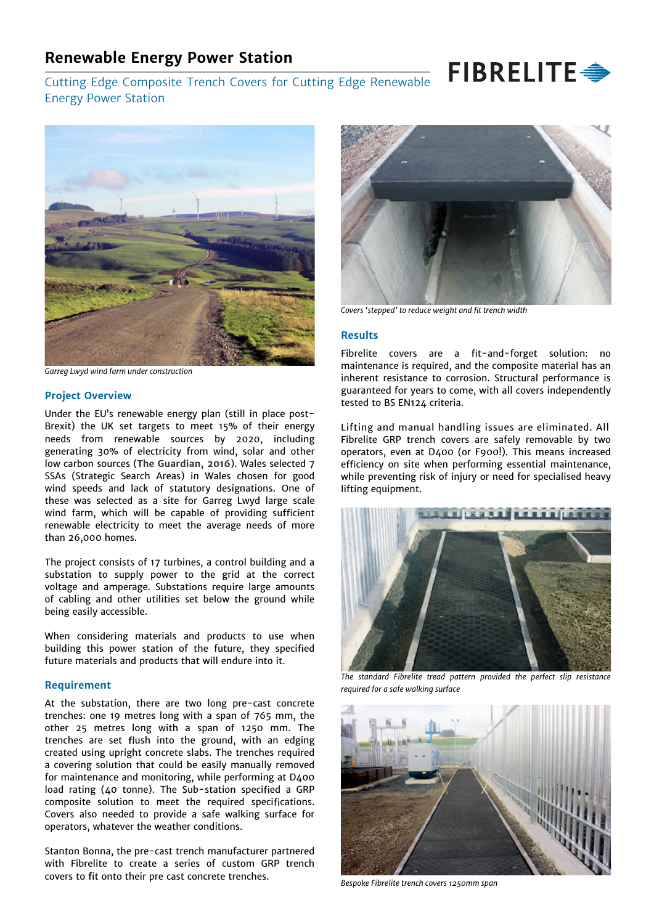## **Renewable Energy Power Station**

# FIBRELITE Cutting Edge Composite Trench Covers for Cutting Edge Renewable



*Garreg Lwyd wind farm under construction*

Energy Power Station

#### **Project Overview**

Under the EU's renewable energy plan (still in place post-Brexit) the UK set targets to meet 15% of their energy needs from renewable sources by 2020, including generating 30% of electricity from wind, solar and other low carbon sources (**The Guardian, 2016**). Wales selected 7 SSAs (Strategic Search Areas) in Wales chosen for good wind speeds and lack of statutory designations. One of these was selected as a site for Garreg Lwyd large scale wind farm, which will be capable of providing sufficient renewable electricity to meet the average needs of more than 26,000 homes.

The project consists of 17 turbines, a control building and a substation to supply power to the grid at the correct voltage and amperage. Substations require large amounts of cabling and other utilities set below the ground while being easily accessible.

When considering materials and products to use when building this power station of the future, they specified future materials and products that will endure into it.

#### **Requirement**

At the substation, there are two long pre-cast concrete trenches: one 19 metres long with a span of 765 mm, the other 25 metres long with a span of 1250 mm. The trenches are set flush into the ground, with an edging created using upright concrete slabs. The trenches required a covering solution that could be easily manually removed for maintenance and monitoring, while performing at D400 load rating (40 tonne). The Sub-station specified a GRP composite solution to meet the required specifications. Covers also needed to provide a safe walking surface for operators, whatever the weather conditions.

Stanton Bonna, the pre-cast trench manufacturer partnered with Fibrelite to create a series of custom GRP trench covers to fit onto their pre cast concrete trenches.



Covers 'stepped' to reduce weight and fit trench width

#### **Results**

Fibrelite covers are a fit-and-forget solution: no maintenance is required, and the composite material has an inherent resistance to corrosion. Structural performance is guaranteed for years to come, with all covers independently tested to BS EN124 criteria.

Lifting and manual handling issues are eliminated. All Fibrelite GRP trench covers are safely removable by two operators, even at D400 (or F900!). This means increased efficiency on site when performing essential maintenance, while preventing risk of injury or need for specialised heavy lifting equipment.



*The standard Fibrelite tread pattern provided the perfect slip resistance required for a safe walking surface*



*Bespoke Fibrelite trench covers 1250mm span*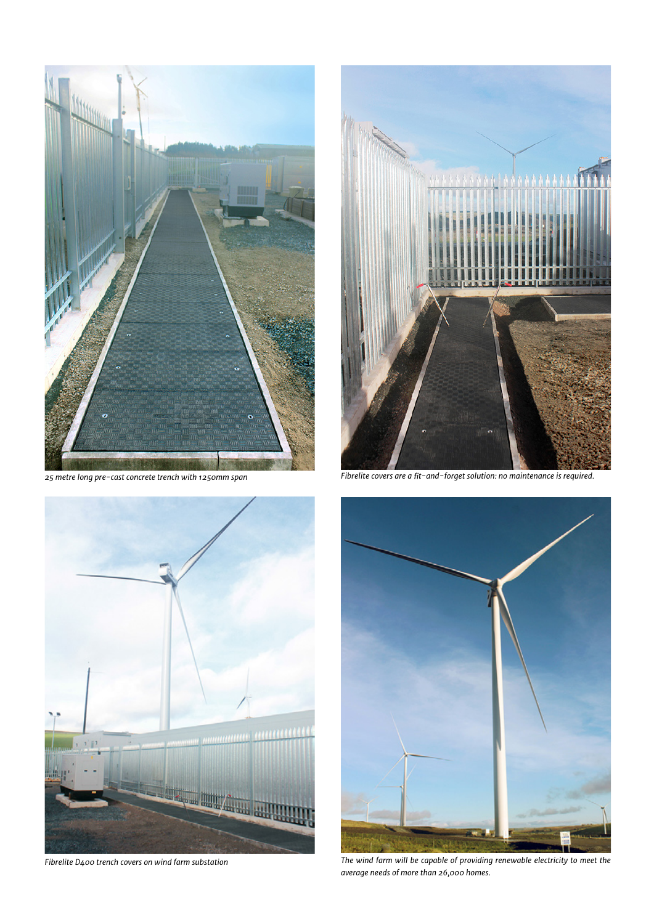

*25 metre long pre-cast concrete trench with 1250mm span*



*Fibrelite D400 trench covers on wind farm substation*



Fibrelite covers are a fit-and-forget solution: no maintenance is required.



*The wind farm will be capable of providing renewable electricity to meet the average needs of more than 26,000 homes.*